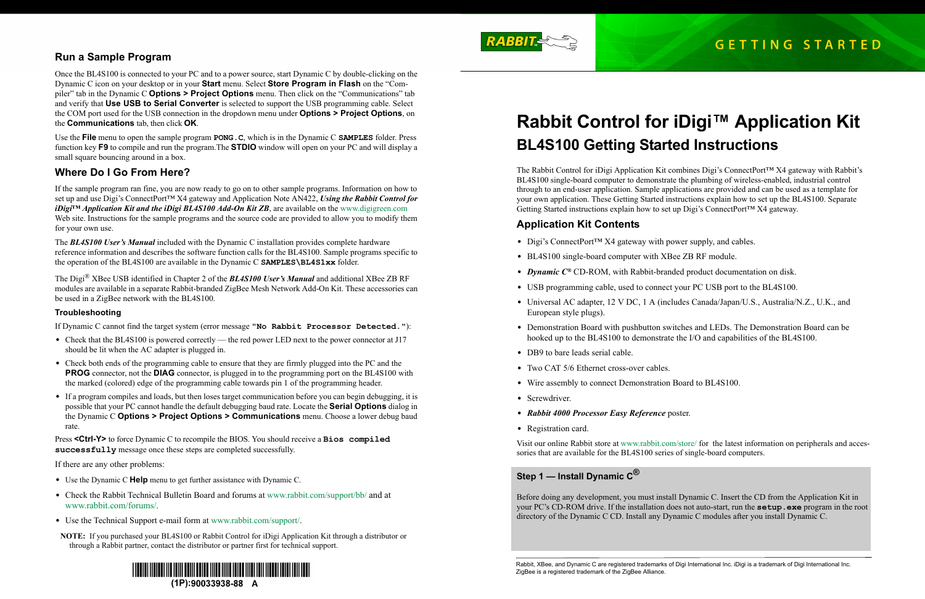Rabbit, XBee, and Dynamic C are registered trademarks of Digi International Inc. iDigi is a trademark of Digi International Inc.

The Rabbit Control for iDigi Application Kit combines Digi's ConnectPort™ X4 gateway with Rabbit's BL4S100 single-board computer to demonstrate the plumbing of wireless-enabled, industrial control through to an end-user application. Sample applications are provided and can be used as a template for your own application. These Getting Started instructions explain how to set up the BL4S100. Separate Getting Started instructions explain how to set up Digi's ConnectPort<sup>TM</sup> X4 gateway.

• Universal AC adapter, 12 V DC, 1 A (includes Canada/Japan/U.S., Australia/N.Z., U.K., and

# **Rabbit Control for iDigi™ Application Kit BL4S100 Getting Started Instructions**

## **Application Kit Contents**

- **•** Digi's ConnectPort™ X4 gateway with power supply, and cables.
- **•** BL4S100 single-board computer with XBee ZB RF module.
- **•** *Dynamic C®* CD-ROM, with Rabbit-branded product documentation on disk.
- **•** USB programming cable, used to connect your PC USB port to the BL4S100.
- European style plugs).
- hooked up to the BL4S100 to demonstrate the I/O and capabilities of the BL4S100.
- DB9 to bare leads serial cable.
- Two CAT 5/6 Ethernet cross-over cables.
- **•** Wire assembly to connect Demonstration Board to BL4S100.
- **•** Screwdriver.
- **•** *Rabbit 4000 Processor Easy Reference* poster.
- **•** Registration card.

**•** Demonstration Board with pushbutton switches and LEDs. The Demonstration Board can be

Visit our online Rabbit store at [www.rabbit.com/store/](http://www.rabbit.com/store/) for the latest information on peripherals and accessories that are available for the BL4S100 series of single-board computers.

## **Step 1 — Install Dynamic C®**

Before doing any development, you must install Dynamic C. Insert the CD from the Application Kit in your PC's CD-ROM drive. If the installation does not auto-start, run the **setup.exe** program in the root directory of the Dynamic C CD. Install any Dynamic C modules after you install Dynamic C.

# **Run a Sample Program**

Once the BL4S100 is connected to your PC and to a power source, start Dynamic C by double-clicking on the Dynamic C icon on your desktop or in your **Start** menu. Select **Store Program in Flash** on the "Compiler" tab in the Dynamic C **Options > Project Options** menu. Then click on the "Communications" tab and verify that **Use USB to Serial Converter** is selected to support the USB programming cable. Select the COM port used for the USB connection in the dropdown menu under **Options > Project Options**, on the **Communications** tab, then click **OK**.

- Check that the BL4S100 is powered correctly the red power LED next to the power connector at J17 should be lit when the AC adapter is plugged in.
- Check both ends of the programming cable to ensure that they are firmly plugged into the PC and the **PROG** connector, not the **DIAG** connector, is plugged in to the programming port on the BL4S100 with the marked (colored) edge of the programming cable towards pin 1 of the programming header.
- If a program compiles and loads, but then loses target communication before you can begin debugging, it is possible that your PC cannot handle the default debugging baud rate. Locate the **Serial Options** dialog in the Dynamic C **Options > Project Options > Communications** menu. Choose a lower debug baud rate.

Use the **File** menu to open the sample program **PONG.C**, which is in the Dynamic C **SAMPLES** folder. Press function key **F9** to compile and run the program.The **STDIO** window will open on your PC and will display a small square bouncing around in a box.

# **Where Do I Go From Here?**

If the sample program ran fine, you are now ready to go on to other sample programs. Information on how to set up and use Digi's ConnectPort™ X4 gateway and Application Note AN422, *Using the Rabbit Control for iDigi*<sup>™</sup> *Application Kit and the iDigi BL4S100 Add-On Kit ZB*, are available on the [www.digigreen.com](http://www.digigreen.com/) Web site. Instructions for the sample programs and the source code are provided to allow you to modify them for your own use.

The *BL4S100 User's Manual* included with the Dynamic C installation provides complete hardware reference information and describes the software function calls for the BL4S100. Sample programs specific to the operation of the BL4S100 are available in the Dynamic C **SAMPLES\BL4S1xx** folder.

The Digi® XBee USB identified in Chapter 2 of the *BL4S100 User's Manual* and additional XBee ZB RF modules are available in a separate Rabbit-branded ZigBee Mesh Network Add-On Kit. These accessories can be used in a ZigBee network with the BL4S100.

#### **Troubleshooting**

If Dynamic C cannot find the target system (error message **"No Rabbit Processor Detected."**):

Press **<Ctrl-Y>** to force Dynamic C to recompile the BIOS. You should receive a **Bios compiled successfully** message once these steps are completed successfully.

If there are any other problems:

- **•** Use the Dynamic C **Help** menu to get further assistance with Dynamic C.
- **•** Check the Rabbit Technical Bulletin Board and forums at [w](http://www.zworld.com/support/bb/index.html)ww.rabbit.com/support/bb/ and at [www.rabbit.com/forums/](http://www.rabbitsemiconductor.com/forums/).
- **•** Use the Technical Support e-mail form at [w](http://www.zworld.com/support/questionSubmit.shtml)ww.rabbit.com/support/.
- **NOTE:** If you purchased your BL4S100 or Rabbit Control for iDigi Application Kit through a distributor or through a Rabbit partner, contact the distributor or partner first for technical support.





ZigBee is a registered trademark of the ZigBee Alliance.